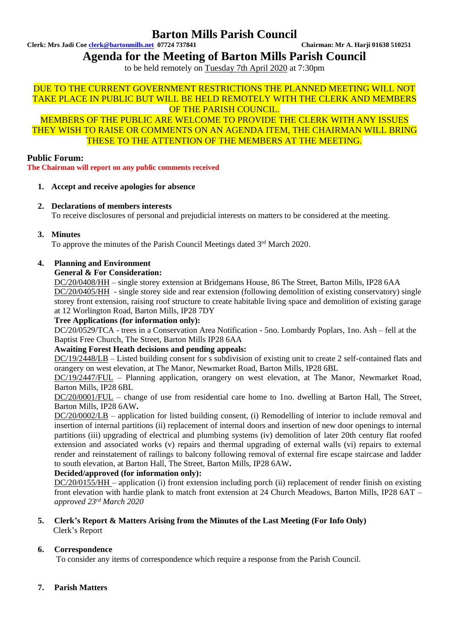## **Barton Mills Parish Council**

**Clerk: Mrs Jadi Coe [clerk@bartonmills.net](mailto:clerk@bartonmills.net) 07724 737841 Chairman: Mr A. Harji 01638 510251**

**Agenda for the Meeting of Barton Mills Parish Council**

to be held remotely on Tuesday 7th April 2020 at 7:30pm

## DUE TO THE CURRENT GOVERNMENT RESTRICTIONS THE PLANNED MEETING WILL NOT TAKE PLACE IN PUBLIC BUT WILL BE HELD REMOTELY WITH THE CLERK AND MEMBERS OF THE PARISH COUNCIL.

MEMBERS OF THE PUBLIC ARE WELCOME TO PROVIDE THE CLERK WITH ANY ISSUES THEY WISH TO RAISE OR COMMENTS ON AN AGENDA ITEM, THE CHAIRMAN WILL BRING THESE TO THE ATTENTION OF THE MEMBERS AT THE MEETING.

**Public Forum:**

**The Chairman will report on any public comments received**

#### **1. Accept and receive apologies for absence**

**2. Declarations of members interests**

To receive disclosures of personal and prejudicial interests on matters to be considered at the meeting.

**3. Minutes**

To approve the minutes of the Parish Council Meetings dated 3rd March 2020.

## **4. Planning and Environment**

#### **General & For Consideration:**

DC/20/0408/HH – single storey extension at Bridgemans House, 86 The Street, Barton Mills, IP28 6AA DC/20/0405/HH - single storey side and rear extension (following demolition of existing conservatory) single storey front extension, raising roof structure to create habitable living space and demolition of existing garage at 12 Worlington Road, Barton Mills, IP28 7DY

#### **Tree Applications (for information only):**

DC/20/0529/TCA - trees in a Conservation Area Notification - 5no. Lombardy Poplars, 1no. Ash – fell at the Baptist Free Church, The Street, Barton Mills IP28 6AA

#### **Awaiting Forest Heath decisions and pending appeals:**

DC/19/2448/LB – Listed building consent for s subdivision of existing unit to create 2 self-contained flats and orangery on west elevation, at The Manor, Newmarket Road, Barton Mills, IP28 6BL

DC/19/2447/FUL – Planning application, orangery on west elevation, at The Manor, Newmarket Road, Barton Mills, IP28 6BL

DC/20/0001/FUL – change of use from residential care home to 1no. dwelling at Barton Hall, The Street, Barton Mills, IP28 6AW**.**

DC/20/0002/LB – application for listed building consent, (i) Remodelling of interior to include removal and insertion of internal partitions (ii) replacement of internal doors and insertion of new door openings to internal partitions (iii) upgrading of electrical and plumbing systems (iv) demolition of later 20th century flat roofed extension and associated works (v) repairs and thermal upgrading of external walls (vi) repairs to external render and reinstatement of railings to balcony following removal of external fire escape staircase and ladder to south elevation, at Barton Hall, The Street, Barton Mills, IP28 6AW**.**

#### **Decided/approved (for information only):**

DC/20/0155/HH – application (i) front extension including porch (ii) replacement of render finish on existing front elevation with hardie plank to match front extension at 24 Church Meadows, Barton Mills, IP28 6AT – *approved 23rd March 2020*

**5. Clerk's Report & Matters Arising from the Minutes of the Last Meeting (For Info Only)** Clerk's Report

## **6. Correspondence**

To consider any items of correspondence which require a response from the Parish Council.

**7. Parish Matters**